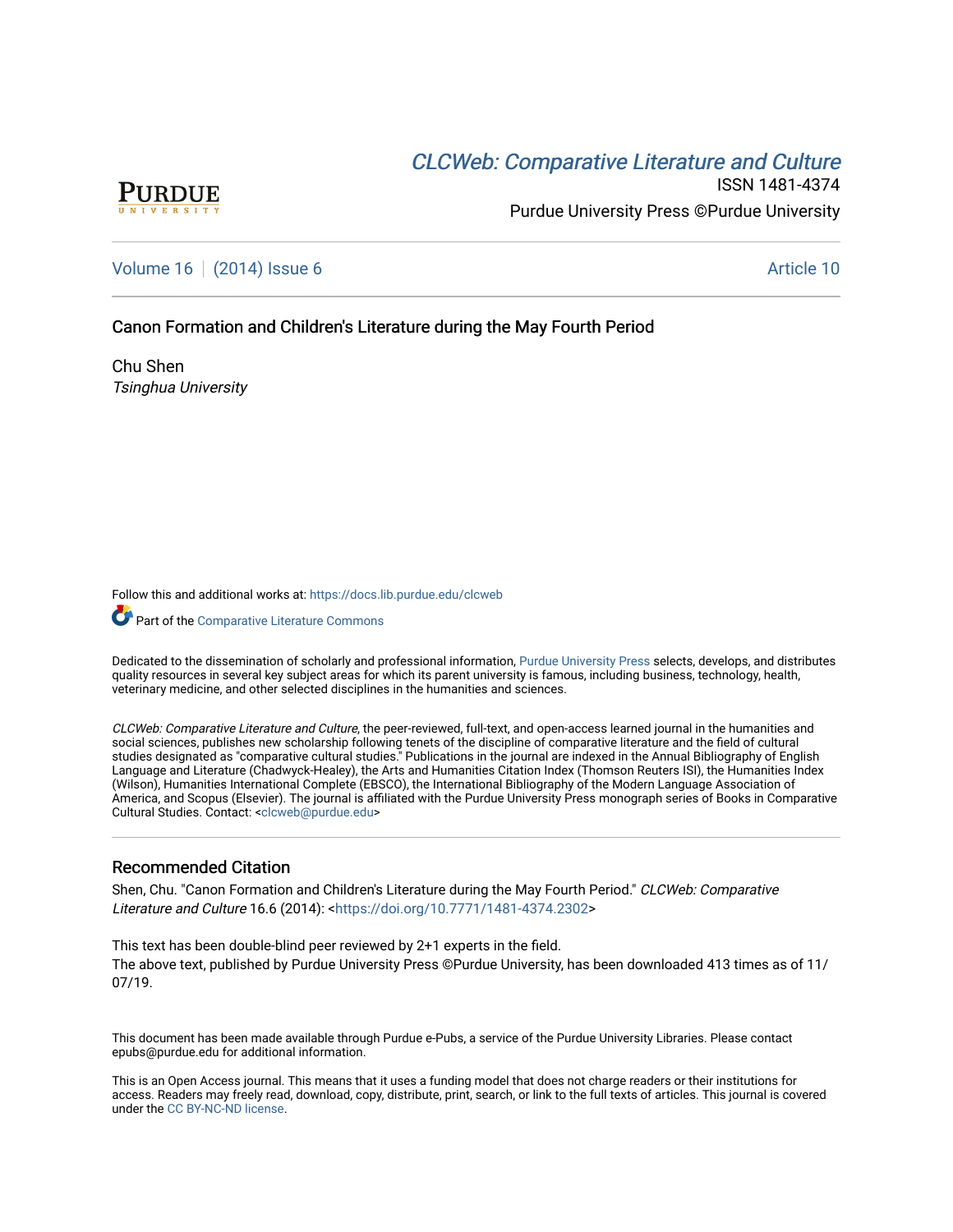# **CLCW[eb: Comparative Liter](https://docs.lib.purdue.edu/clcweb)ature and Culture**



ISSN 1481-4374 Purdue University Press ©Purdue University

[Volume 16](https://docs.lib.purdue.edu/clcweb/vol16) | [\(2014\) Issue 6](https://docs.lib.purdue.edu/clcweb/vol16/iss6) Article 10

## Canon Formation and Children's Literature during the May Fourth Period

Chu Shen Tsinghua University

Follow this and additional works at: [https://docs.lib.purdue.edu/clcweb](https://docs.lib.purdue.edu/clcweb?utm_source=docs.lib.purdue.edu%2Fclcweb%2Fvol16%2Fiss6%2F10&utm_medium=PDF&utm_campaign=PDFCoverPages)

Part of the [Comparative Literature Commons](http://network.bepress.com/hgg/discipline/454?utm_source=docs.lib.purdue.edu%2Fclcweb%2Fvol16%2Fiss6%2F10&utm_medium=PDF&utm_campaign=PDFCoverPages) 

Dedicated to the dissemination of scholarly and professional information, [Purdue University Press](http://www.thepress.purdue.edu/) selects, develops, and distributes quality resources in several key subject areas for which its parent university is famous, including business, technology, health, veterinary medicine, and other selected disciplines in the humanities and sciences.

CLCWeb: Comparative Literature and Culture, the peer-reviewed, full-text, and open-access learned journal in the humanities and social sciences, publishes new scholarship following tenets of the discipline of comparative literature and the field of cultural studies designated as "comparative cultural studies." Publications in the journal are indexed in the Annual Bibliography of English Language and Literature (Chadwyck-Healey), the Arts and Humanities Citation Index (Thomson Reuters ISI), the Humanities Index (Wilson), Humanities International Complete (EBSCO), the International Bibliography of the Modern Language Association of America, and Scopus (Elsevier). The journal is affiliated with the Purdue University Press monograph series of Books in Comparative Cultural Studies. Contact: [<clcweb@purdue.edu](mailto:clcweb@purdue.edu)>

## Recommended Citation

Shen, Chu. "Canon Formation and Children's Literature during the May Fourth Period." CLCWeb: Comparative Literature and Culture 16.6 (2014): <<https://doi.org/10.7771/1481-4374.2302>>

This text has been double-blind peer reviewed by 2+1 experts in the field. The above text, published by Purdue University Press ©Purdue University, has been downloaded 413 times as of 11/ 07/19.

This document has been made available through Purdue e-Pubs, a service of the Purdue University Libraries. Please contact epubs@purdue.edu for additional information.

This is an Open Access journal. This means that it uses a funding model that does not charge readers or their institutions for access. Readers may freely read, download, copy, distribute, print, search, or link to the full texts of articles. This journal is covered under the [CC BY-NC-ND license.](https://creativecommons.org/licenses/by-nc-nd/4.0/)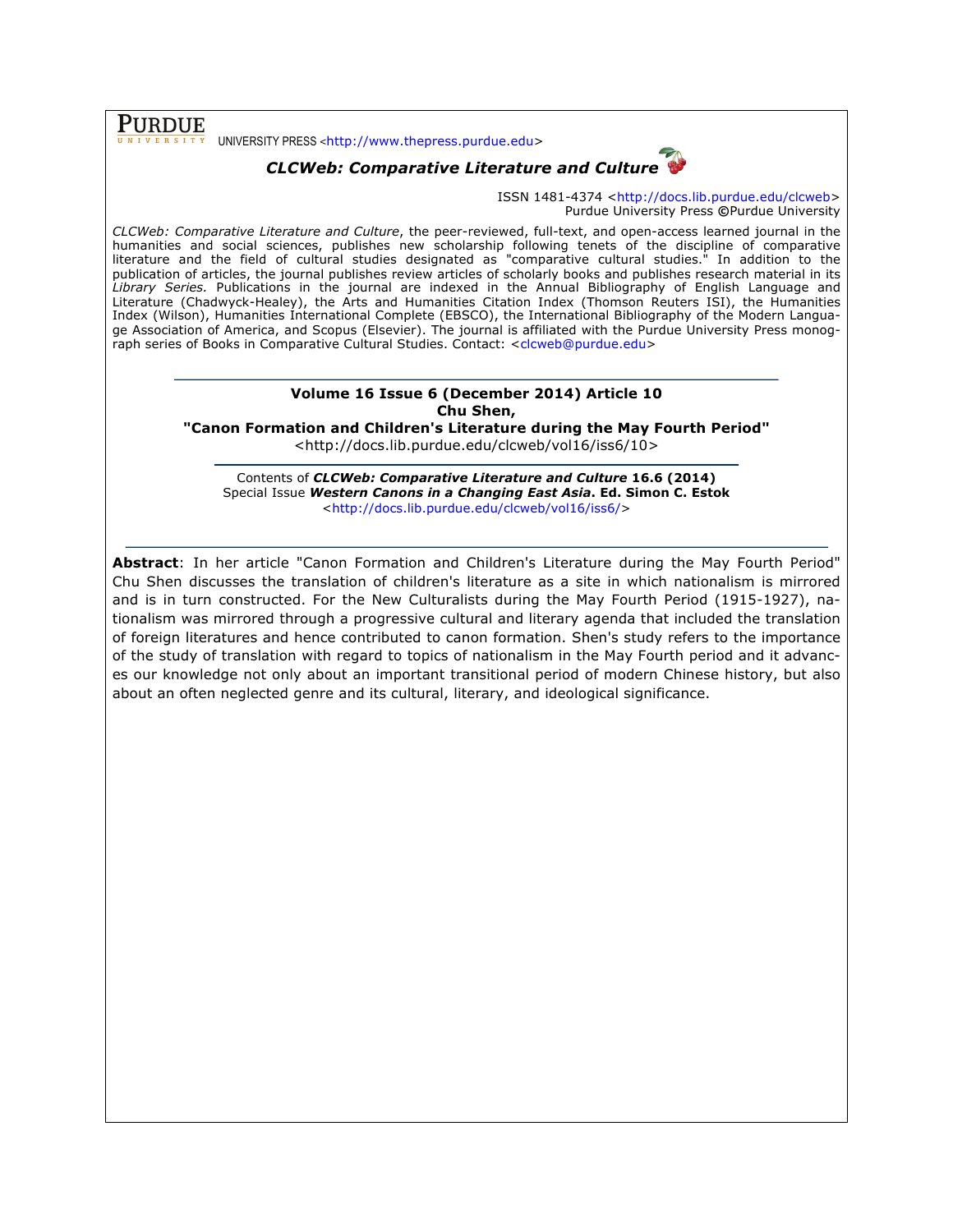PURDUE UNIVERSITY PRESS <http://www.thepress.purdue.edu>

## *CLCWeb: Comparative Literature and Culture*



ISSN 1481-4374 <http://docs.lib.purdue.edu/clcweb> Purdue University Press **©**Purdue University

*CLCWeb: Comparative Literature and Culture*, the peer-reviewed, full-text, and open-access learned journal in the humanities and social sciences, publishes new scholarship following tenets of the discipline of comparative literature and the field of cultural studies designated as "comparative cultural studies." In addition to the publication of articles, the journal publishes review articles of scholarly books and publishes research material in its *Library Series.* Publications in the journal are indexed in the Annual Bibliography of English Language and Literature (Chadwyck-Healey), the Arts and Humanities Citation Index (Thomson Reuters ISI), the Humanities Index (Wilson), Humanities International Complete (EBSCO), the International Bibliography of the Modern Language Association of America, and Scopus (Elsevier). The journal is affiliated with the Purdue University Press monograph series of Books in Comparative Cultural Studies. Contact: <clcweb@purdue.edu>

#### **Volume 16 Issue 6 (December 2014) Article 10 Chu Shen,**

**"Canon Formation and Children's Literature during the May Fourth Period"**

<http://docs.lib.purdue.edu/clcweb/vol16/iss6/10>

Contents of *CLCWeb: Comparative Literature and Culture* **16.6 (2014)** Special Issue *Western Canons in a Changing East Asia***. Ed. Simon C. Estok** <http://docs.lib.purdue.edu/clcweb/vol16/iss6/>

**Abstract**: In her article "Canon Formation and Children's Literature during the May Fourth Period" Chu Shen discusses the translation of children's literature as a site in which nationalism is mirrored and is in turn constructed. For the New Culturalists during the May Fourth Period (1915-1927), nationalism was mirrored through a progressive cultural and literary agenda that included the translation of foreign literatures and hence contributed to canon formation. Shen's study refers to the importance of the study of translation with regard to topics of nationalism in the May Fourth period and it advances our knowledge not only about an important transitional period of modern Chinese history, but also about an often neglected genre and its cultural, literary, and ideological significance.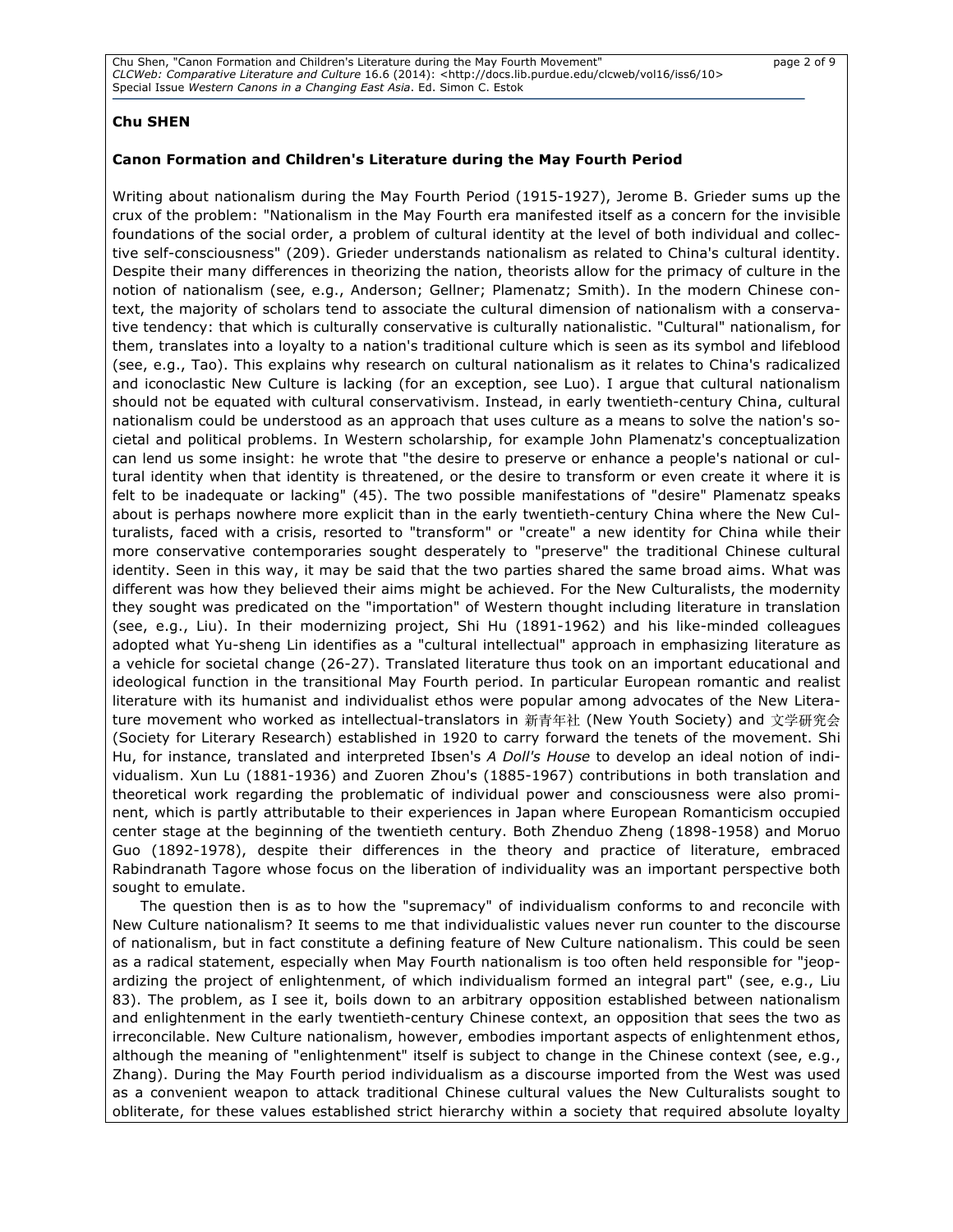### **Chu SHEN**

#### **Canon Formation and Children's Literature during the May Fourth Period**

Writing about nationalism during the May Fourth Period (1915-1927), Jerome B. Grieder sums up the crux of the problem: "Nationalism in the May Fourth era manifested itself as a concern for the invisible foundations of the social order, a problem of cultural identity at the level of both individual and collective self-consciousness" (209). Grieder understands nationalism as related to China's cultural identity. Despite their many differences in theorizing the nation, theorists allow for the primacy of culture in the notion of nationalism (see, e.g., Anderson; Gellner; Plamenatz; Smith). In the modern Chinese context, the majority of scholars tend to associate the cultural dimension of nationalism with a conservative tendency: that which is culturally conservative is culturally nationalistic. "Cultural" nationalism, for them, translates into a loyalty to a nation's traditional culture which is seen as its symbol and lifeblood (see, e.g., Tao). This explains why research on cultural nationalism as it relates to China's radicalized and iconoclastic New Culture is lacking (for an exception, see Luo). I argue that cultural nationalism should not be equated with cultural conservativism. Instead, in early twentieth-century China, cultural nationalism could be understood as an approach that uses culture as a means to solve the nation's societal and political problems. In Western scholarship, for example John Plamenatz's conceptualization can lend us some insight: he wrote that "the desire to preserve or enhance a people's national or cultural identity when that identity is threatened, or the desire to transform or even create it where it is felt to be inadequate or lacking" (45). The two possible manifestations of "desire" Plamenatz speaks about is perhaps nowhere more explicit than in the early twentieth-century China where the New Culturalists, faced with a crisis, resorted to "transform" or "create" a new identity for China while their more conservative contemporaries sought desperately to "preserve" the traditional Chinese cultural identity. Seen in this way, it may be said that the two parties shared the same broad aims. What was different was how they believed their aims might be achieved. For the New Culturalists, the modernity they sought was predicated on the "importation" of Western thought including literature in translation (see, e.g., Liu). In their modernizing project, Shi Hu (1891-1962) and his like-minded colleagues adopted what Yu-sheng Lin identifies as a "cultural intellectual" approach in emphasizing literature as a vehicle for societal change (26-27). Translated literature thus took on an important educational and ideological function in the transitional May Fourth period. In particular European romantic and realist literature with its humanist and individualist ethos were popular among advocates of the New Literature movement who worked as intellectual-translators in 新青年社 (New Youth Society) and 文学研究会 (Society for Literary Research) established in 1920 to carry forward the tenets of the movement. Shi Hu, for instance, translated and interpreted Ibsen's *A Doll's House* to develop an ideal notion of individualism. Xun Lu (1881-1936) and Zuoren Zhou's (1885-1967) contributions in both translation and theoretical work regarding the problematic of individual power and consciousness were also prominent, which is partly attributable to their experiences in Japan where European Romanticism occupied center stage at the beginning of the twentieth century. Both Zhenduo Zheng (1898-1958) and Moruo Guo (1892-1978), despite their differences in the theory and practice of literature, embraced Rabindranath Tagore whose focus on the liberation of individuality was an important perspective both sought to emulate.

The question then is as to how the "supremacy" of individualism conforms to and reconcile with New Culture nationalism? It seems to me that individualistic values never run counter to the discourse of nationalism, but in fact constitute a defining feature of New Culture nationalism. This could be seen as a radical statement, especially when May Fourth nationalism is too often held responsible for "jeopardizing the project of enlightenment, of which individualism formed an integral part" (see, e.g., Liu 83). The problem, as I see it, boils down to an arbitrary opposition established between nationalism and enlightenment in the early twentieth-century Chinese context, an opposition that sees the two as irreconcilable. New Culture nationalism, however, embodies important aspects of enlightenment ethos, although the meaning of "enlightenment" itself is subject to change in the Chinese context (see, e.g., Zhang). During the May Fourth period individualism as a discourse imported from the West was used as a convenient weapon to attack traditional Chinese cultural values the New Culturalists sought to obliterate, for these values established strict hierarchy within a society that required absolute loyalty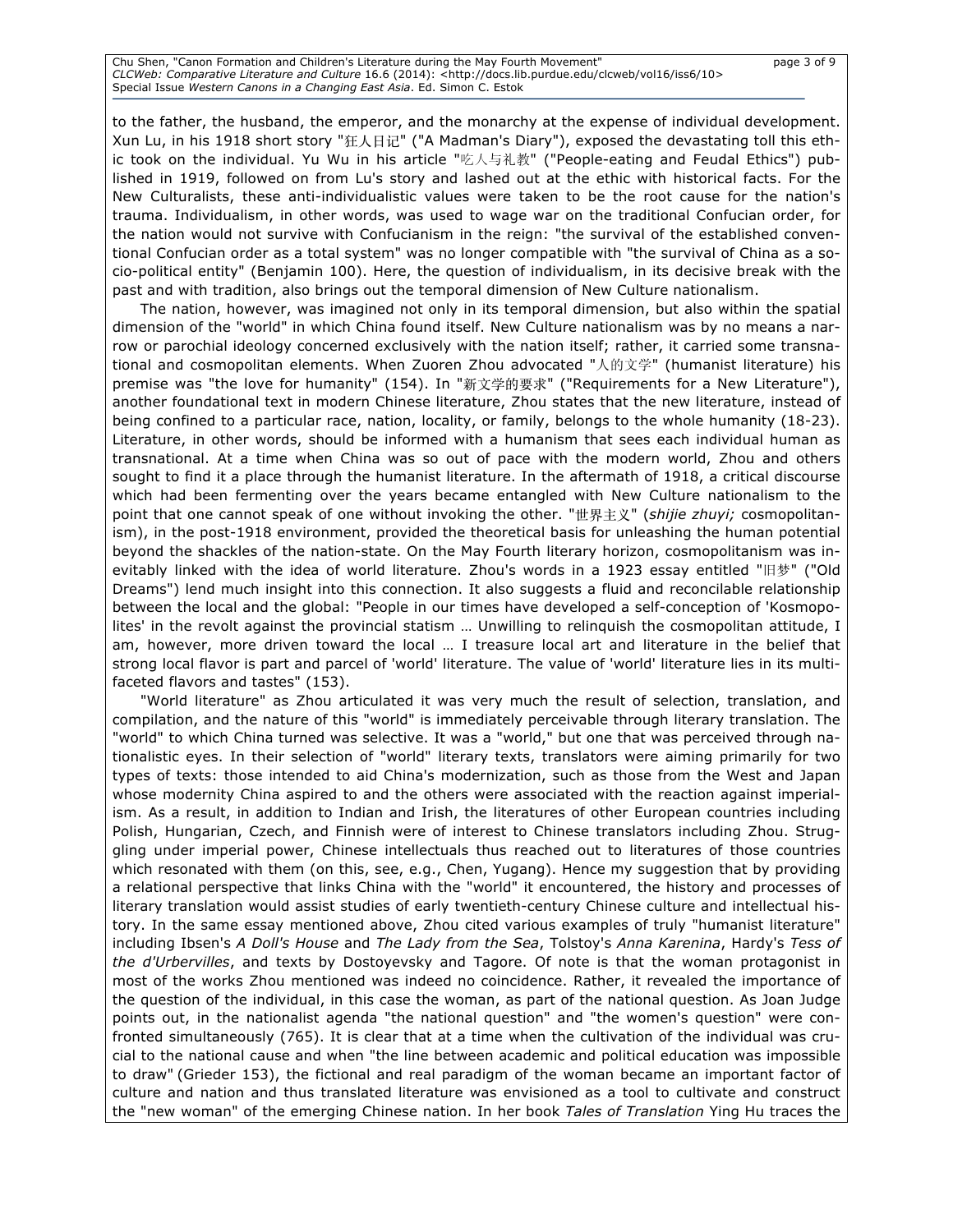Chu Shen, "Canon Formation and Children's Literature during the May Fourth Movement" page 3 of 9 *CLCWeb: Comparative Literature and Culture* 16.6 (2014): <http://docs.lib.purdue.edu/clcweb/vol16/iss6/10> Special Issue *Western Canons in a Changing East Asia*. Ed. Simon C. Estok

to the father, the husband, the emperor, and the monarchy at the expense of individual development. Xun Lu, in his 1918 short story "狂⼈⽇记" ("A Madman's Diary"), exposed the devastating toll this ethic took on the individual. Yu Wu in his article "吃人与礼教" ("People-eating and Feudal Ethics") published in 1919, followed on from Lu's story and lashed out at the ethic with historical facts. For the New Culturalists, these anti-individualistic values were taken to be the root cause for the nation's trauma. Individualism, in other words, was used to wage war on the traditional Confucian order, for the nation would not survive with Confucianism in the reign: "the survival of the established conventional Confucian order as a total system" was no longer compatible with "the survival of China as a socio-political entity" (Benjamin 100). Here, the question of individualism, in its decisive break with the past and with tradition, also brings out the temporal dimension of New Culture nationalism.

The nation, however, was imagined not only in its temporal dimension, but also within the spatial dimension of the "world" in which China found itself. New Culture nationalism was by no means a narrow or parochial ideology concerned exclusively with the nation itself; rather, it carried some transnational and cosmopolitan elements. When Zuoren Zhou advocated "人的文学" (humanist literature) his premise was "the love for humanity" (154). In "新文学的要求" ("Requirements for a New Literature"), another foundational text in modern Chinese literature, Zhou states that the new literature, instead of being confined to a particular race, nation, locality, or family, belongs to the whole humanity (18-23). Literature, in other words, should be informed with a humanism that sees each individual human as transnational. At a time when China was so out of pace with the modern world, Zhou and others sought to find it a place through the humanist literature. In the aftermath of 1918, a critical discourse which had been fermenting over the years became entangled with New Culture nationalism to the point that one cannot speak of one without invoking the other. "世界主义" (*shijie zhuyi;* cosmopolitanism), in the post-1918 environment, provided the theoretical basis for unleashing the human potential beyond the shackles of the nation-state. On the May Fourth literary horizon, cosmopolitanism was inevitably linked with the idea of world literature. Zhou's words in a 1923 essay entitled "旧梦" ("Old Dreams") lend much insight into this connection. It also suggests a fluid and reconcilable relationship between the local and the global: "People in our times have developed a self-conception of 'Kosmopolites' in the revolt against the provincial statism … Unwilling to relinquish the cosmopolitan attitude, I am, however, more driven toward the local … I treasure local art and literature in the belief that strong local flavor is part and parcel of 'world' literature. The value of 'world' literature lies in its multifaceted flavors and tastes" (153).

"World literature" as Zhou articulated it was very much the result of selection, translation, and compilation, and the nature of this "world" is immediately perceivable through literary translation. The "world" to which China turned was selective. It was a "world," but one that was perceived through nationalistic eyes. In their selection of "world" literary texts, translators were aiming primarily for two types of texts: those intended to aid China's modernization, such as those from the West and Japan whose modernity China aspired to and the others were associated with the reaction against imperialism. As a result, in addition to Indian and Irish, the literatures of other European countries including Polish, Hungarian, Czech, and Finnish were of interest to Chinese translators including Zhou. Struggling under imperial power, Chinese intellectuals thus reached out to literatures of those countries which resonated with them (on this, see, e.g., Chen, Yugang). Hence my suggestion that by providing a relational perspective that links China with the "world" it encountered, the history and processes of literary translation would assist studies of early twentieth-century Chinese culture and intellectual history. In the same essay mentioned above, Zhou cited various examples of truly "humanist literature" including Ibsen's *A Doll's House* and *The Lady from the Sea*, Tolstoy's *Anna Karenina*, Hardy's *Tess of the d'Urbervilles*, and texts by Dostoyevsky and Tagore. Of note is that the woman protagonist in most of the works Zhou mentioned was indeed no coincidence. Rather, it revealed the importance of the question of the individual, in this case the woman, as part of the national question. As Joan Judge points out, in the nationalist agenda "the national question" and "the women's question" were confronted simultaneously (765). It is clear that at a time when the cultivation of the individual was crucial to the national cause and when "the line between academic and political education was impossible to draw" (Grieder 153), the fictional and real paradigm of the woman became an important factor of culture and nation and thus translated literature was envisioned as a tool to cultivate and construct the "new woman" of the emerging Chinese nation. In her book *Tales of Translation* Ying Hu traces the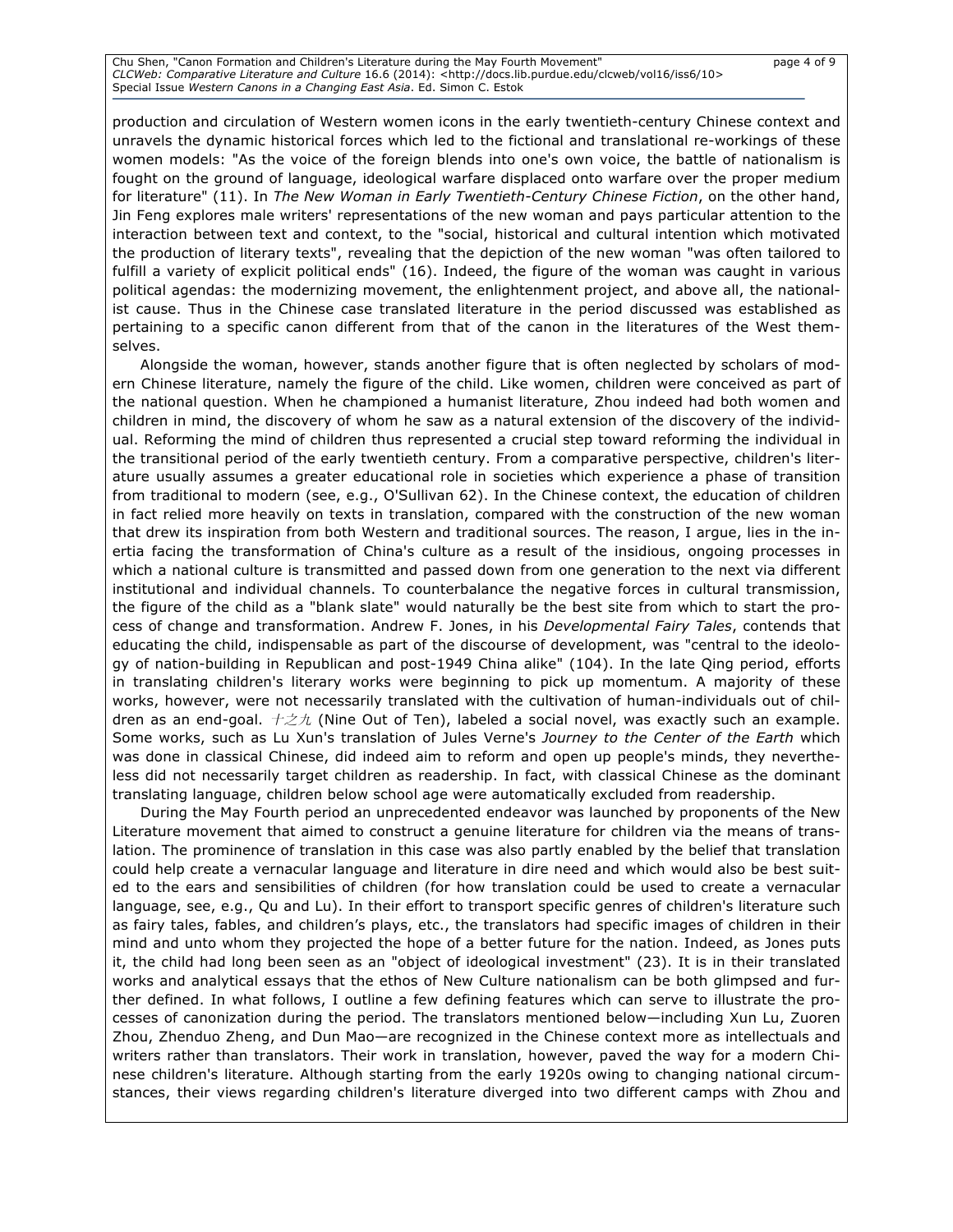Chu Shen, "Canon Formation and Children's Literature during the May Fourth Movement" page 4 of 9 *CLCWeb: Comparative Literature and Culture* 16.6 (2014): <http://docs.lib.purdue.edu/clcweb/vol16/iss6/10> Special Issue *Western Canons in a Changing East Asia*. Ed. Simon C. Estok

production and circulation of Western women icons in the early twentieth-century Chinese context and unravels the dynamic historical forces which led to the fictional and translational re-workings of these women models: "As the voice of the foreign blends into one's own voice, the battle of nationalism is fought on the ground of language, ideological warfare displaced onto warfare over the proper medium for literature" (11). In *The New Woman in Early Twentieth-Century Chinese Fiction*, on the other hand, Jin Feng explores male writers' representations of the new woman and pays particular attention to the interaction between text and context, to the "social, historical and cultural intention which motivated the production of literary texts", revealing that the depiction of the new woman "was often tailored to fulfill a variety of explicit political ends" (16). Indeed, the figure of the woman was caught in various political agendas: the modernizing movement, the enlightenment project, and above all, the nationalist cause. Thus in the Chinese case translated literature in the period discussed was established as pertaining to a specific canon different from that of the canon in the literatures of the West themselves.

Alongside the woman, however, stands another figure that is often neglected by scholars of modern Chinese literature, namely the figure of the child. Like women, children were conceived as part of the national question. When he championed a humanist literature, Zhou indeed had both women and children in mind, the discovery of whom he saw as a natural extension of the discovery of the individual. Reforming the mind of children thus represented a crucial step toward reforming the individual in the transitional period of the early twentieth century. From a comparative perspective, children's literature usually assumes a greater educational role in societies which experience a phase of transition from traditional to modern (see, e.g., O'Sullivan 62). In the Chinese context, the education of children in fact relied more heavily on texts in translation, compared with the construction of the new woman that drew its inspiration from both Western and traditional sources. The reason, I argue, lies in the inertia facing the transformation of China's culture as a result of the insidious, ongoing processes in which a national culture is transmitted and passed down from one generation to the next via different institutional and individual channels. To counterbalance the negative forces in cultural transmission, the figure of the child as a "blank slate" would naturally be the best site from which to start the process of change and transformation. Andrew F. Jones, in his *Developmental Fairy Tales*, contends that educating the child, indispensable as part of the discourse of development, was "central to the ideology of nation-building in Republican and post-1949 China alike" (104). In the late Qing period, efforts in translating children's literary works were beginning to pick up momentum. A majority of these works, however, were not necessarily translated with the cultivation of human-individuals out of children as an end-goal.  $+\not\equiv\not\pm$  (Nine Out of Ten), labeled a social novel, was exactly such an example. Some works, such as Lu Xun's translation of Jules Verne's *Journey to the Center of the Earth* which was done in classical Chinese, did indeed aim to reform and open up people's minds, they nevertheless did not necessarily target children as readership. In fact, with classical Chinese as the dominant translating language, children below school age were automatically excluded from readership.

During the May Fourth period an unprecedented endeavor was launched by proponents of the New Literature movement that aimed to construct a genuine literature for children via the means of translation. The prominence of translation in this case was also partly enabled by the belief that translation could help create a vernacular language and literature in dire need and which would also be best suited to the ears and sensibilities of children (for how translation could be used to create a vernacular language, see, e.g., Qu and Lu). In their effort to transport specific genres of children's literature such as fairy tales, fables, and children's plays, etc., the translators had specific images of children in their mind and unto whom they projected the hope of a better future for the nation. Indeed, as Jones puts it, the child had long been seen as an "object of ideological investment" (23). It is in their translated works and analytical essays that the ethos of New Culture nationalism can be both glimpsed and further defined. In what follows, I outline a few defining features which can serve to illustrate the processes of canonization during the period. The translators mentioned below—including Xun Lu, Zuoren Zhou, Zhenduo Zheng, and Dun Mao—are recognized in the Chinese context more as intellectuals and writers rather than translators. Their work in translation, however, paved the way for a modern Chinese children's literature. Although starting from the early 1920s owing to changing national circumstances, their views regarding children's literature diverged into two different camps with Zhou and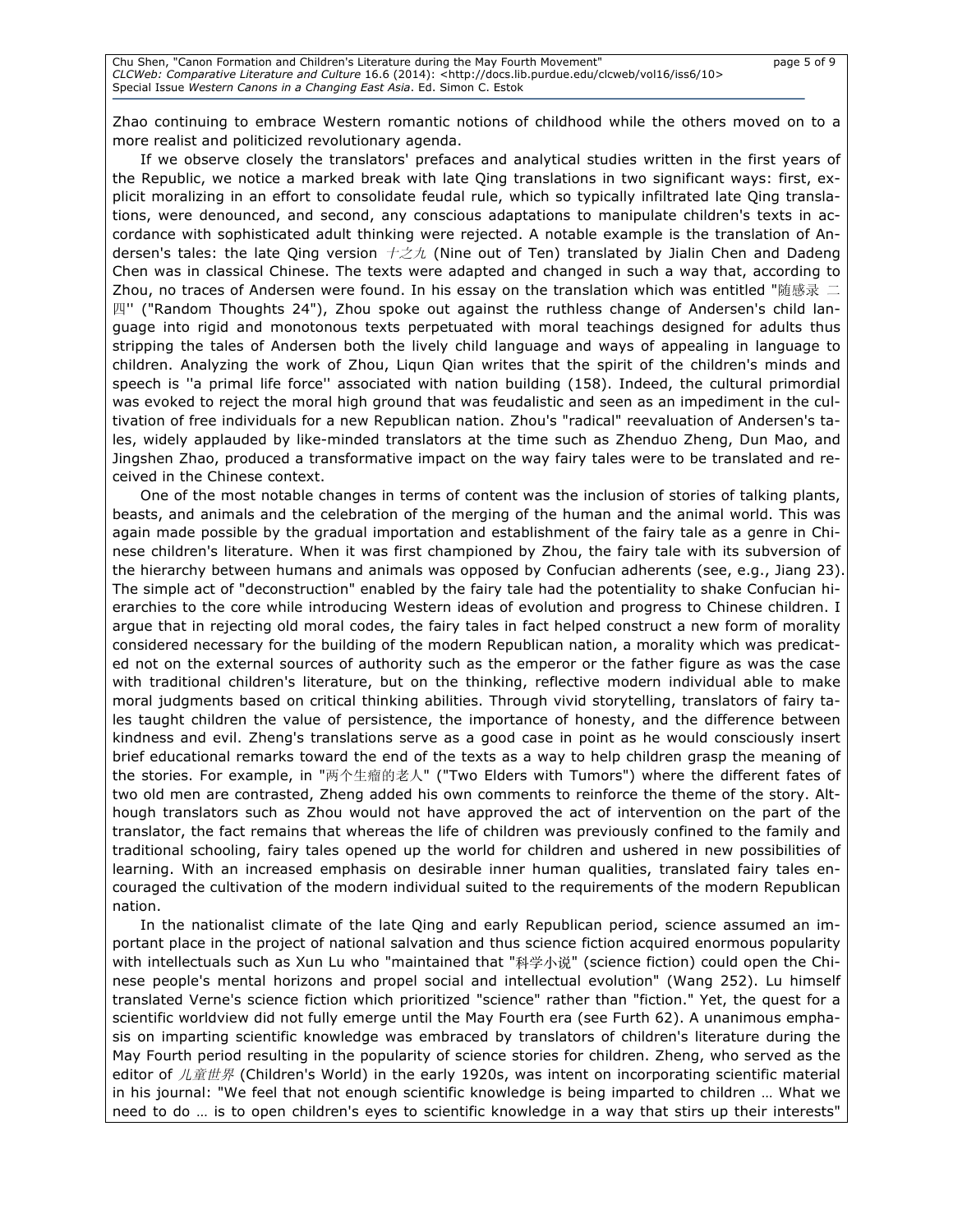Zhao continuing to embrace Western romantic notions of childhood while the others moved on to a more realist and politicized revolutionary agenda.

If we observe closely the translators' prefaces and analytical studies written in the first years of the Republic, we notice a marked break with late Qing translations in two significant ways: first, explicit moralizing in an effort to consolidate feudal rule, which so typically infiltrated late Qing translations, were denounced, and second, any conscious adaptations to manipulate children's texts in accordance with sophisticated adult thinking were rejected. A notable example is the translation of Andersen's tales: the late Qing version  $+\not\equiv\pi$  (Nine out of Ten) translated by Jialin Chen and Dadeng Chen was in classical Chinese. The texts were adapted and changed in such a way that, according to Zhou, no traces of Andersen were found. In his essay on the translation which was entitled "随感录 二 四'' ("Random Thoughts 24"), Zhou spoke out against the ruthless change of Andersen's child language into rigid and monotonous texts perpetuated with moral teachings designed for adults thus stripping the tales of Andersen both the lively child language and ways of appealing in language to children. Analyzing the work of Zhou, Liqun Qian writes that the spirit of the children's minds and speech is ''a primal life force'' associated with nation building (158). Indeed, the cultural primordial was evoked to reject the moral high ground that was feudalistic and seen as an impediment in the cultivation of free individuals for a new Republican nation. Zhou's "radical" reevaluation of Andersen's tales, widely applauded by like-minded translators at the time such as Zhenduo Zheng, Dun Mao, and Jingshen Zhao, produced a transformative impact on the way fairy tales were to be translated and received in the Chinese context.

One of the most notable changes in terms of content was the inclusion of stories of talking plants, beasts, and animals and the celebration of the merging of the human and the animal world. This was again made possible by the gradual importation and establishment of the fairy tale as a genre in Chinese children's literature. When it was first championed by Zhou, the fairy tale with its subversion of the hierarchy between humans and animals was opposed by Confucian adherents (see, e.g., Jiang 23). The simple act of "deconstruction" enabled by the fairy tale had the potentiality to shake Confucian hierarchies to the core while introducing Western ideas of evolution and progress to Chinese children. I argue that in rejecting old moral codes, the fairy tales in fact helped construct a new form of morality considered necessary for the building of the modern Republican nation, a morality which was predicated not on the external sources of authority such as the emperor or the father figure as was the case with traditional children's literature, but on the thinking, reflective modern individual able to make moral judgments based on critical thinking abilities. Through vivid storytelling, translators of fairy tales taught children the value of persistence, the importance of honesty, and the difference between kindness and evil. Zheng's translations serve as a good case in point as he would consciously insert brief educational remarks toward the end of the texts as a way to help children grasp the meaning of the stories. For example, in "两个生瘤的老人" ("Two Elders with Tumors") where the different fates of two old men are contrasted, Zheng added his own comments to reinforce the theme of the story. Although translators such as Zhou would not have approved the act of intervention on the part of the translator, the fact remains that whereas the life of children was previously confined to the family and traditional schooling, fairy tales opened up the world for children and ushered in new possibilities of learning. With an increased emphasis on desirable inner human qualities, translated fairy tales encouraged the cultivation of the modern individual suited to the requirements of the modern Republican nation.

In the nationalist climate of the late Qing and early Republican period, science assumed an important place in the project of national salvation and thus science fiction acquired enormous popularity with intellectuals such as Xun Lu who "maintained that "科学小说" (science fiction) could open the Chinese people's mental horizons and propel social and intellectual evolution" (Wang 252). Lu himself translated Verne's science fiction which prioritized "science" rather than "fiction." Yet, the quest for a scientific worldview did not fully emerge until the May Fourth era (see Furth 62). A unanimous emphasis on imparting scientific knowledge was embraced by translators of children's literature during the May Fourth period resulting in the popularity of science stories for children. Zheng, who served as the editor of  $\Lambda \tilde{E} \# \mathcal{F}$  (Children's World) in the early 1920s, was intent on incorporating scientific material in his journal: "We feel that not enough scientific knowledge is being imparted to children … What we need to do … is to open children's eyes to scientific knowledge in a way that stirs up their interests"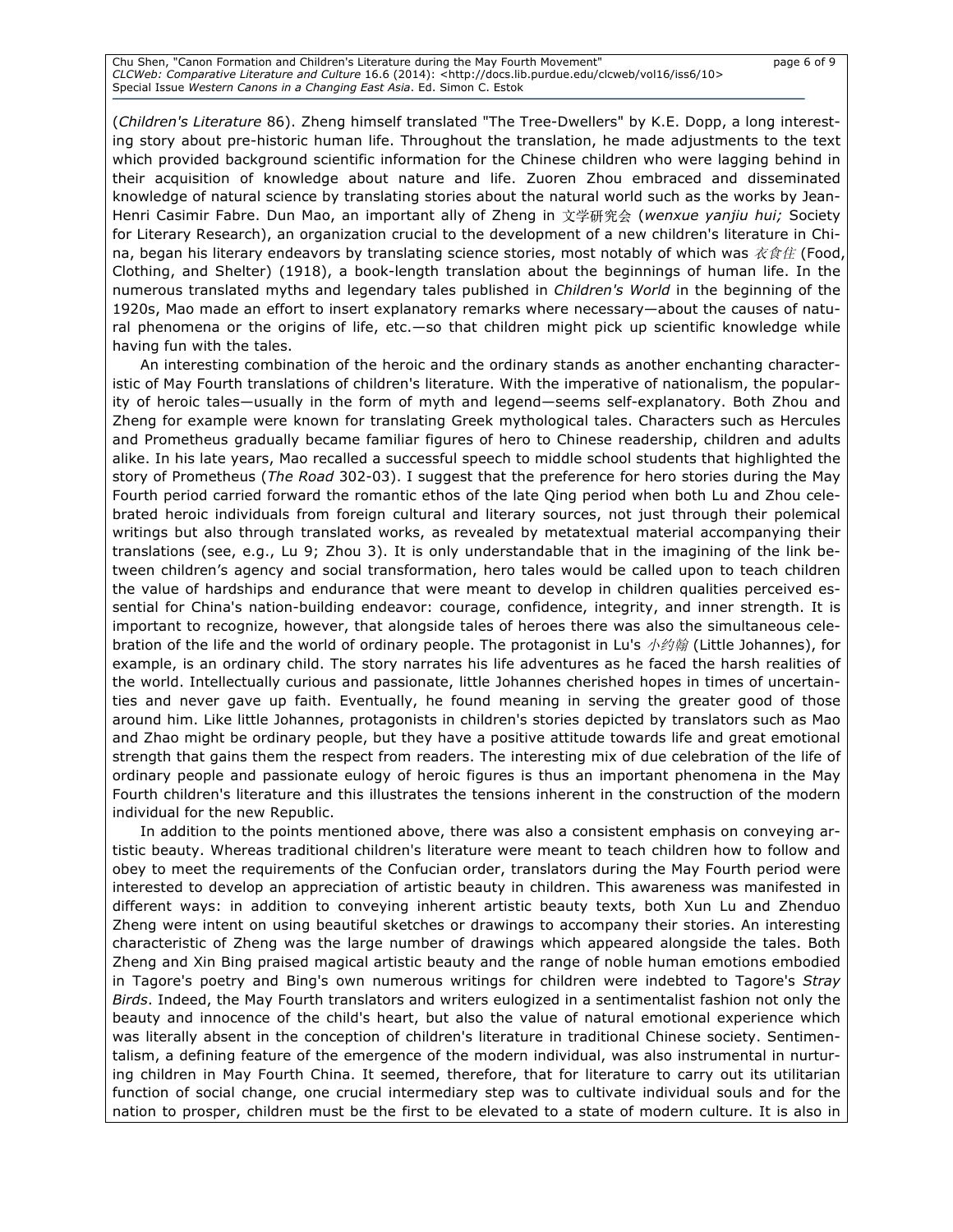Chu Shen, "Canon Formation and Children's Literature during the May Fourth Movement" page 6 of 9 *CLCWeb: Comparative Literature and Culture* 16.6 (2014): <http://docs.lib.purdue.edu/clcweb/vol16/iss6/10> Special Issue *Western Canons in a Changing East Asia*. Ed. Simon C. Estok

(*Children's Literature* 86). Zheng himself translated "The Tree-Dwellers" by K.E. Dopp, a long interesting story about pre-historic human life. Throughout the translation, he made adjustments to the text which provided background scientific information for the Chinese children who were lagging behind in their acquisition of knowledge about nature and life. Zuoren Zhou embraced and disseminated knowledge of natural science by translating stories about the natural world such as the works by Jean-Henri Casimir Fabre. Dun Mao, an important ally of Zheng in ⽂学研究会 (*wenxue yanjiu hui;* Society for Literary Research), an organization crucial to the development of a new children's literature in China, began his literary endeavors by translating science stories, most notably of which was  $\dot{\mathcal{X}}\hat{\mathcal{E}}\hat{\mathcal{H}}$  (Food, Clothing, and Shelter) (1918), a book-length translation about the beginnings of human life. In the numerous translated myths and legendary tales published in *Children's World* in the beginning of the 1920s, Mao made an effort to insert explanatory remarks where necessary—about the causes of natural phenomena or the origins of life, etc.—so that children might pick up scientific knowledge while having fun with the tales.

An interesting combination of the heroic and the ordinary stands as another enchanting characteristic of May Fourth translations of children's literature. With the imperative of nationalism, the popularity of heroic tales—usually in the form of myth and legend—seems self-explanatory. Both Zhou and Zheng for example were known for translating Greek mythological tales. Characters such as Hercules and Prometheus gradually became familiar figures of hero to Chinese readership, children and adults alike. In his late years, Mao recalled a successful speech to middle school students that highlighted the story of Prometheus (*The Road* 302-03). I suggest that the preference for hero stories during the May Fourth period carried forward the romantic ethos of the late Qing period when both Lu and Zhou celebrated heroic individuals from foreign cultural and literary sources, not just through their polemical writings but also through translated works, as revealed by metatextual material accompanying their translations (see, e.g., Lu 9; Zhou 3). It is only understandable that in the imagining of the link between children's agency and social transformation, hero tales would be called upon to teach children the value of hardships and endurance that were meant to develop in children qualities perceived essential for China's nation-building endeavor: courage, confidence, integrity, and inner strength. It is important to recognize, however, that alongside tales of heroes there was also the simultaneous celebration of the life and the world of ordinary people. The protagonist in Lu's  $\dot{\phi}$  /  $\dot{\phi}$  (Little Johannes), for example, is an ordinary child. The story narrates his life adventures as he faced the harsh realities of the world. Intellectually curious and passionate, little Johannes cherished hopes in times of uncertainties and never gave up faith. Eventually, he found meaning in serving the greater good of those around him. Like little Johannes, protagonists in children's stories depicted by translators such as Mao and Zhao might be ordinary people, but they have a positive attitude towards life and great emotional strength that gains them the respect from readers. The interesting mix of due celebration of the life of ordinary people and passionate eulogy of heroic figures is thus an important phenomena in the May Fourth children's literature and this illustrates the tensions inherent in the construction of the modern individual for the new Republic.

In addition to the points mentioned above, there was also a consistent emphasis on conveying artistic beauty. Whereas traditional children's literature were meant to teach children how to follow and obey to meet the requirements of the Confucian order, translators during the May Fourth period were interested to develop an appreciation of artistic beauty in children. This awareness was manifested in different ways: in addition to conveying inherent artistic beauty texts, both Xun Lu and Zhenduo Zheng were intent on using beautiful sketches or drawings to accompany their stories. An interesting characteristic of Zheng was the large number of drawings which appeared alongside the tales. Both Zheng and Xin Bing praised magical artistic beauty and the range of noble human emotions embodied in Tagore's poetry and Bing's own numerous writings for children were indebted to Tagore's *Stray Birds*. Indeed, the May Fourth translators and writers eulogized in a sentimentalist fashion not only the beauty and innocence of the child's heart, but also the value of natural emotional experience which was literally absent in the conception of children's literature in traditional Chinese society. Sentimentalism, a defining feature of the emergence of the modern individual, was also instrumental in nurturing children in May Fourth China. It seemed, therefore, that for literature to carry out its utilitarian function of social change, one crucial intermediary step was to cultivate individual souls and for the nation to prosper, children must be the first to be elevated to a state of modern culture. It is also in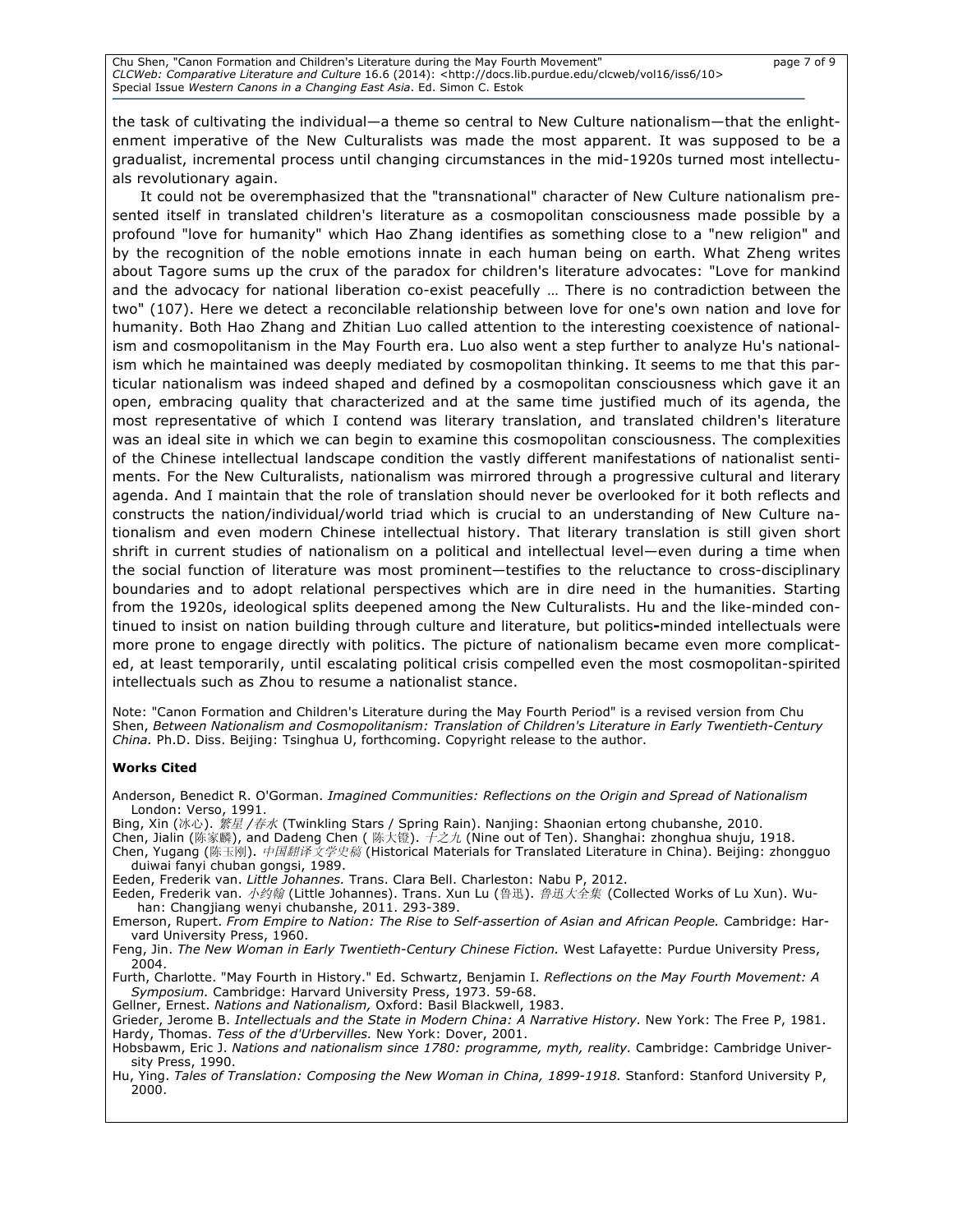the task of cultivating the individual—a theme so central to New Culture nationalism—that the enlightenment imperative of the New Culturalists was made the most apparent. It was supposed to be a gradualist, incremental process until changing circumstances in the mid-1920s turned most intellectuals revolutionary again.

It could not be overemphasized that the "transnational" character of New Culture nationalism presented itself in translated children's literature as a cosmopolitan consciousness made possible by a profound "love for humanity" which Hao Zhang identifies as something close to a "new religion" and by the recognition of the noble emotions innate in each human being on earth. What Zheng writes about Tagore sums up the crux of the paradox for children's literature advocates: "Love for mankind and the advocacy for national liberation co-exist peacefully … There is no contradiction between the two" (107). Here we detect a reconcilable relationship between love for one's own nation and love for humanity. Both Hao Zhang and Zhitian Luo called attention to the interesting coexistence of nationalism and cosmopolitanism in the May Fourth era. Luo also went a step further to analyze Hu's nationalism which he maintained was deeply mediated by cosmopolitan thinking. It seems to me that this particular nationalism was indeed shaped and defined by a cosmopolitan consciousness which gave it an open, embracing quality that characterized and at the same time justified much of its agenda, the most representative of which I contend was literary translation, and translated children's literature was an ideal site in which we can begin to examine this cosmopolitan consciousness. The complexities of the Chinese intellectual landscape condition the vastly different manifestations of nationalist sentiments. For the New Culturalists, nationalism was mirrored through a progressive cultural and literary agenda. And I maintain that the role of translation should never be overlooked for it both reflects and constructs the nation/individual/world triad which is crucial to an understanding of New Culture nationalism and even modern Chinese intellectual history. That literary translation is still given short shrift in current studies of nationalism on a political and intellectual level—even during a time when the social function of literature was most prominent—testifies to the reluctance to cross-disciplinary boundaries and to adopt relational perspectives which are in dire need in the humanities. Starting from the 1920s, ideological splits deepened among the New Culturalists. Hu and the like-minded continued to insist on nation building through culture and literature, but politics**-**minded intellectuals were more prone to engage directly with politics. The picture of nationalism became even more complicated, at least temporarily, until escalating political crisis compelled even the most cosmopolitan-spirited intellectuals such as Zhou to resume a nationalist stance.

Note: "Canon Formation and Children's Literature during the May Fourth Period" is a revised version from Chu Shen, *Between Nationalism and Cosmopolitanism: Translation of Children's Literature in Early Twentieth-Century China.* Ph.D. Diss. Beijing: Tsinghua U, forthcoming. Copyright release to the author.

#### **Works Cited**

Anderson, Benedict R. O'Gorman. *Imagined Communities: Reflections on the Origin and Spread of Nationalism*  London: Verso, 1991.

Bing, Xin (冰心). 繁星 */*春水 (Twinkling Stars / Spring Rain). Nanjing: Shaonian ertong chubanshe, 2010.

- Chen, Jialin (陈家麟), and Dadeng Chen (陈大镫).  $\tilde{\tau}$ 之九 (Nine out of Ten). Shanghai: zhonghua shuju, 1918. Chen, Yugang (陈玉刚). 中国翻译文学史稿 (Historical Materials for Translated Literature in China). Beijing: zhongguo duiwai fanyi chuban gongsi, 1989.
- Eeden, Frederik van. *Little Johannes.* Trans. Clara Bell. Charleston: Nabu P, 2012.

Eeden, Frederik van. 小约翰 (Little Johannes). Trans. Xun Lu (鲁迅). 鲁迅大全集 (Collected Works of Lu Xun). Wuhan: Changjiang wenyi chubanshe, 2011. 293-389.

Emerson, Rupert. *From Empire to Nation: The Rise to Self-assertion of Asian and African People.* Cambridge: Harvard University Press, 1960.

Feng, Jin. *The New Woman in Early Twentieth-Century Chinese Fiction.* West Lafayette: Purdue University Press, 2004.

Furth, Charlotte. "May Fourth in History." Ed. Schwartz, Benjamin I. *Reflections on the May Fourth Movement: A Symposium.* Cambridge: Harvard University Press, 1973. 59-68.

Gellner, Ernest. *Nations and Nationalism,* Oxford: Basil Blackwell, 1983.

Grieder, Jerome B. *Intellectuals and the State in Modern China: A Narrative History.* New York: The Free P, 1981. Hardy, Thomas. *Tess of the d'Urbervilles.* New York: Dover, 2001.

Hobsbawm, Eric J. *Nations and nationalism since 1780: programme, myth, reality.* Cambridge: Cambridge University Press, 1990.

Hu, Ying. *Tales of Translation: Composing the New Woman in China, 1899-1918.* Stanford: Stanford University P, 2000.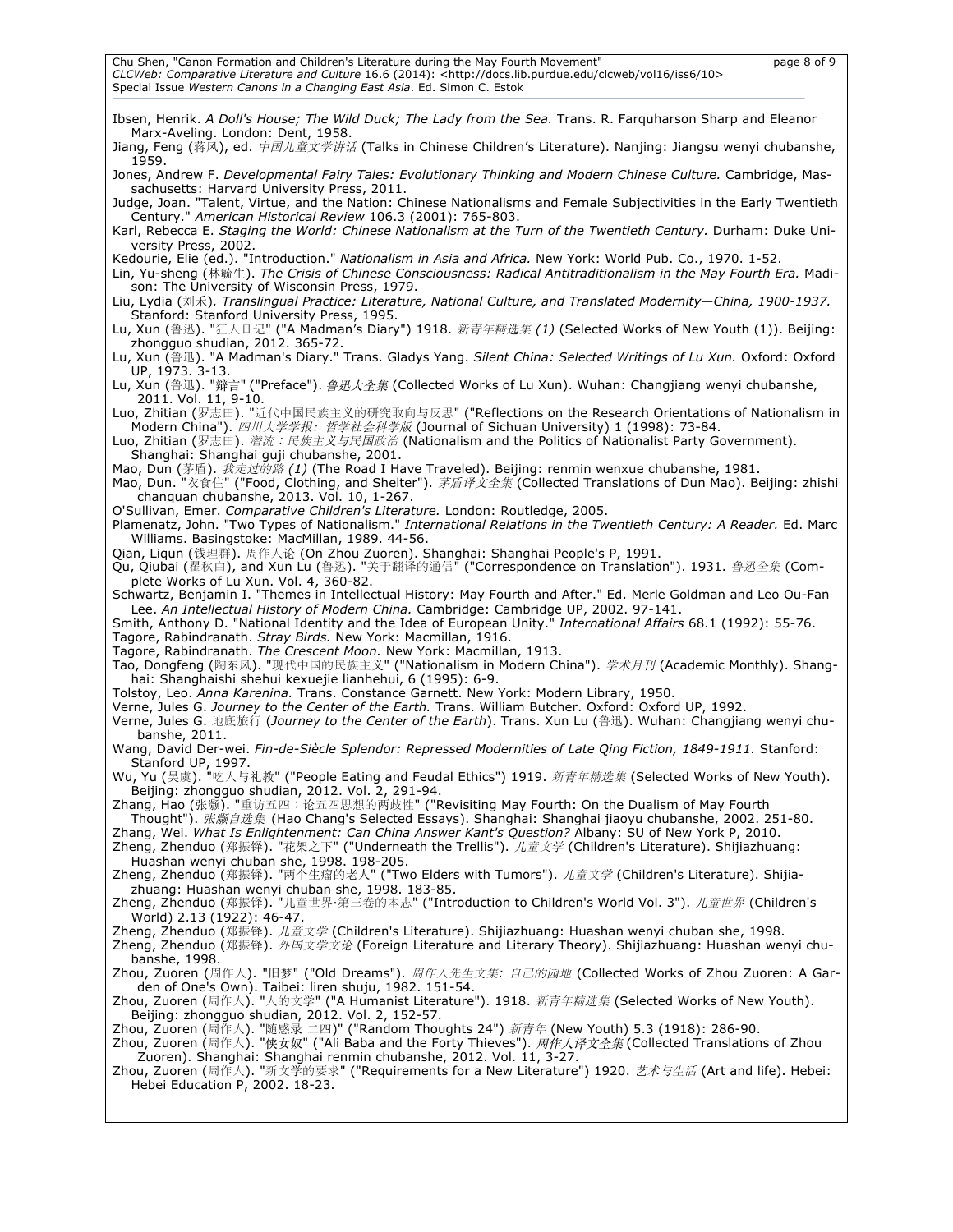| Ibsen, Henrik. A Doll's House; The Wild Duck; The Lady from the Sea. Trans. R. Farquharson Sharp and Eleanor<br>Marx-Aveling. London: Dent, 1958.                                                                                                                                                                                                                                          |
|--------------------------------------------------------------------------------------------------------------------------------------------------------------------------------------------------------------------------------------------------------------------------------------------------------------------------------------------------------------------------------------------|
| Jiang, Feng (蒋风), ed. 中国儿童文学讲话 (Talks in Chinese Children's Literature). Nanjing: Jiangsu wenyi chubanshe,<br>1959.                                                                                                                                                                                                                                                                        |
| Jones, Andrew F. Developmental Fairy Tales: Evolutionary Thinking and Modern Chinese Culture. Cambridge, Mas-<br>sachusetts: Harvard University Press, 2011.                                                                                                                                                                                                                               |
| Judge, Joan. "Talent, Virtue, and the Nation: Chinese Nationalisms and Female Subjectivities in the Early Twentieth<br>Century." American Historical Review 106.3 (2001): 765-803.                                                                                                                                                                                                         |
| Karl, Rebecca E. Staging the World: Chinese Nationalism at the Turn of the Twentieth Century. Durham: Duke Uni-<br>versity Press, 2002.                                                                                                                                                                                                                                                    |
| Kedourie, Elie (ed.). "Introduction." Nationalism in Asia and Africa. New York: World Pub. Co., 1970. 1-52.<br>Lin, Yu-sheng (林毓生). The Crisis of Chinese Consciousness: Radical Antitraditionalism in the May Fourth Era. Madi-<br>son: The University of Wisconsin Press, 1979.                                                                                                          |
| Liu, Lydia (刘禾). Translingual Practice: Literature, National Culture, and Translated Modernity—China, 1900-1937.<br>Stanford: Stanford University Press, 1995.                                                                                                                                                                                                                             |
| Lu, Xun (鲁迅). "狂人日记" ("A Madman's Diary") 1918. 新青年精选集 (1) (Selected Works of New Youth (1)). Beijing:<br>zhongquo shudian, 2012. 365-72.                                                                                                                                                                                                                                                  |
| Lu, Xun (鲁迅). "A Madman's Diary." Trans. Gladys Yang. Silent China: Selected Writings of Lu Xun. Oxford: Oxford<br>UP, 1973. 3-13.                                                                                                                                                                                                                                                         |
| Lu, Xun (鲁迅). "辩言" ("Preface"). 鲁迅大全集 (Collected Works of Lu Xun). Wuhan: Changjiang wenyi chubanshe,<br>2011. Vol. 11, 9-10.                                                                                                                                                                                                                                                              |
| Luo, Zhitian (罗志田). "近代中国民族主义的研究取向与反思" ("Reflections on the Research Orientations of Nationalism in<br>Modern China"). 四川大学学报: 哲学社会科学版 (Journal of Sichuan University) 1 (1998): 73-84.<br>Luo, Zhitian (罗志田). 潜流: 民族主义与民国政治 (Nationalism and the Politics of Nationalist Party Government).<br>Shanghai: Shanghai guji chubanshe, 2001.                                                   |
| Mao, Dun (茅盾). 我走过的路 (1) (The Road I Have Traveled). Beijing: renmin wenxue chubanshe, 1981.<br>Mao, Dun. "衣食住" ("Food, Clothing, and Shelter"). 茅盾译文全集 (Collected Translations of Dun Mao). Beijing: zhishi<br>changuan chubanshe, 2013. Vol. 10, 1-267.                                                                                                                                  |
| O'Sullivan, Emer. Comparative Children's Literature. London: Routledge, 2005.<br>Plamenatz, John. "Two Types of Nationalism." International Relations in the Twentieth Century: A Reader. Ed. Marc<br>Williams. Basingstoke: MacMillan, 1989. 44-56.                                                                                                                                       |
| Qian, Ligun (钱理群). 周作人论 (On Zhou Zuoren). Shanghai: Shanghai People's P, 1991.<br>Qu, Qiubai (瞿秋白), and Xun Lu (鲁迅). "关于翻译的通信" ("Correspondence on Translation"). 1931. <i>鲁迅全集</i> (Com-<br>plete Works of Lu Xun. Vol. 4, 360-82.                                                                                                                                                        |
| Schwartz, Benjamin I. "Themes in Intellectual History: May Fourth and After." Ed. Merle Goldman and Leo Ou-Fan<br>Lee. An Intellectual History of Modern China. Cambridge: Cambridge UP, 2002. 97-141.<br>Smith, Anthony D. "National Identity and the Idea of European Unity." International Affairs 68.1 (1992): 55-76.<br>Tagore, Rabindranath. Stray Birds. New York: Macmillan, 1916. |
| Tagore, Rabindranath. The Crescent Moon. New York: Macmillan, 1913.<br>Tao, Dongfeng (陶东风). "现代中国的民族主义" ("Nationalism in Modern China"). <i>学术月刊</i> (Academic Monthly). Shang-<br>hai: Shanghaishi shehui kexuejie lianhehui, 6 (1995): 6-9.                                                                                                                                              |
| Tolstoy, Leo. Anna Karenina. Trans. Constance Garnett. New York: Modern Library, 1950.<br>Verne, Jules G. Journey to the Center of the Earth. Trans. William Butcher. Oxford: Oxford UP, 1992.<br>Verne, Jules G. 地底旅行 (Journey to the Center of the Earth). Trans. Xun Lu (鲁迅). Wuhan: Changjiang wenyi chu-                                                                              |
| banshe, 2011.<br>Wang, David Der-wei. Fin-de-Siècle Splendor: Repressed Modernities of Late Qing Fiction, 1849-1911. Stanford:<br>Stanford UP, 1997.                                                                                                                                                                                                                                       |
| Wu, Yu (吴虞). "吃人与礼教" ("People Eating and Feudal Ethics") 1919. 新青年精选集 (Selected Works of New Youth).<br>Beijing: zhongguo shudian, 2012. Vol. 2, 291-94.                                                                                                                                                                                                                                   |
| Zhang, Hao (张灏). "重访五四:论五四思想的两歧性" ("Revisiting May Fourth: On the Dualism of May Fourth<br>Thought"). 张灏自选集 (Hao Chang's Selected Essays). Shanghai: Shanghai jiaoyu chubanshe, 2002. 251-80.<br>Zhang, Wei. What Is Enlightenment: Can China Answer Kant's Question? Albany: SU of New York P, 2010.                                                                                      |
| Zheng, Zhenduo (郑振铎). "花架之下" ("Underneath the Trellis"). 儿童文学 (Children's Literature). Shijiazhuang:<br>Huashan wenyi chuban she, 1998. 198-205.                                                                                                                                                                                                                                           |
| Zheng, Zhenduo (郑振铎). "两个生瘤的老人" ("Two Elders with Tumors"). 儿童文学 (Children's Literature). Shijia-<br>zhuang: Huashan wenyi chuban she, 1998. 183-85.                                                                                                                                                                                                                                       |
| Zheng, Zhenduo (郑振铎). "儿童世界·第三卷的本志" ("Introduction to Children's World Vol. 3"). <i>儿童世界</i> (Children's<br>World) 2.13 (1922): 46-47.                                                                                                                                                                                                                                                     |
| Zheng, Zhenduo (郑振铎). 儿童文学 (Children's Literature). Shijiazhuang: Huashan wenyi chuban she, 1998.<br>Zheng, Zhenduo (郑振铎). 外国文学文论 (Foreign Literature and Literary Theory). Shijiazhuang: Huashan wenyi chu-<br>banshe, 1998.                                                                                                                                                              |
| Zhou, Zuoren (周作人). "旧梦" ("Old Dreams"). <i>周作人先生文集: 自己的园地</i> (Collected Works of Zhou Zuoren: A Gar-<br>den of One's Own). Taibei: liren shuju, 1982. 151-54.                                                                                                                                                                                                                            |
| Zhou, Zuoren (周作人). "人的文学" ("A Humanist Literature"). 1918. 新青年精选集 (Selected Works of New Youth).<br>Beijing: zhongquo shudian, 2012. Vol. 2, 152-57.                                                                                                                                                                                                                                      |
| Zhou, Zuoren (周作人). "随感录 二四)" ("Random Thoughts 24") 新青年 (New Youth) 5.3 (1918): 286-90.<br>Zhou, Zuoren (周作人). "侠女奴" ("Ali Baba and the Forty Thieves"). 周作人译文全集 (Collected Translations of Zhou                                                                                                                                                                                          |
| Zuoren). Shanghai: Shanghai renmin chubanshe, 2012. Vol. 11, 3-27.<br>Zhou, Zuoren (周作人). "新文学的要求" ("Requirements for a New Literature") 1920. <i>艺术与生活</i> (Art and life). Hebei:<br>Hebei Education P, 2002. 18-23.                                                                                                                                                                      |
|                                                                                                                                                                                                                                                                                                                                                                                            |